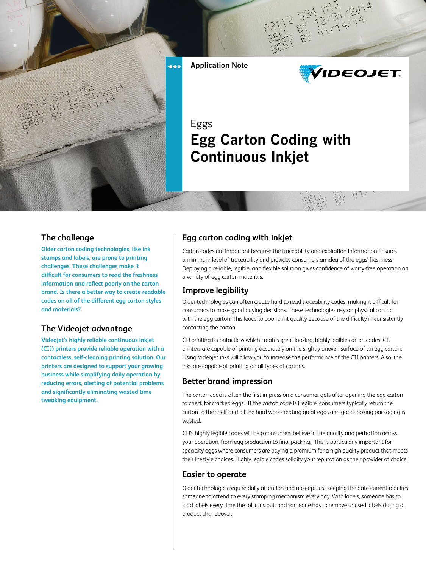

# **IDEOJET.**

# **Egg Carton Coding with Continuous Inkjet**

#### **The challenge**

**Older carton coding technologies, like ink stamps and labels, are prone to printing challenges. These challenges make it difficult for consumers to read the freshness information and reflect poorly on the carton brand. Is there a better way to create readable codes on all of the different egg carton styles and materials?** 

#### **The Videojet advantage**

**Videojet's highly reliable continuous inkjet (CIJ) printers provide reliable operation with a contactless, self-cleaning printing solution. Our printers are designed to support your growing business while simplifying daily operation by reducing errors, alerting of potential problems and significantly eliminating wasted time tweaking equipment.**

#### **Egg carton coding with inkjet**

Carton codes are important because the traceability and expiration information ensures a minimum level of traceability and provides consumers an idea of the eggs' freshness. Deploying a reliable, legible, and flexible solution gives confidence of worry-free operation on a variety of egg carton materials.

#### **Improve legibility**

Older technologies can often create hard to read traceability codes, making it difficult for consumers to make good buying decisions. These technologies rely on physical contact with the egg carton. This leads to poor print quality because of the difficulty in consistently contacting the carton.

CIJ printing is contactless which creates great looking, highly legible carton codes. CIJ printers are capable of printing accurately on the slightly uneven surface of an egg carton. Using Videojet inks will allow you to increase the performance of the CIJ printers. Also, the inks are capable of printing on all types of cartons.

#### **Better brand impression**

The carton code is often the first impression a consumer gets after opening the egg carton to check for cracked eggs. If the carton code is illegible, consumers typically return the carton to the shelf and all the hard work creating great eggs and good-looking packaging is wasted.

CIJ's highly legible codes will help consumers believe in the quality and perfection across your operation, from egg production to final packing. This is particularly important for specialty eggs where consumers are paying a premium for a high quality product that meets their lifestyle choices. Highly legible codes solidify your reputation as their provider of choice.

#### **Easier to operate**

Older technologies require daily attention and upkeep. Just keeping the date current requires someone to attend to every stamping mechanism every day. With labels, someone has to load labels every time the roll runs out, and someone has to remove unused labels during a product changeover.